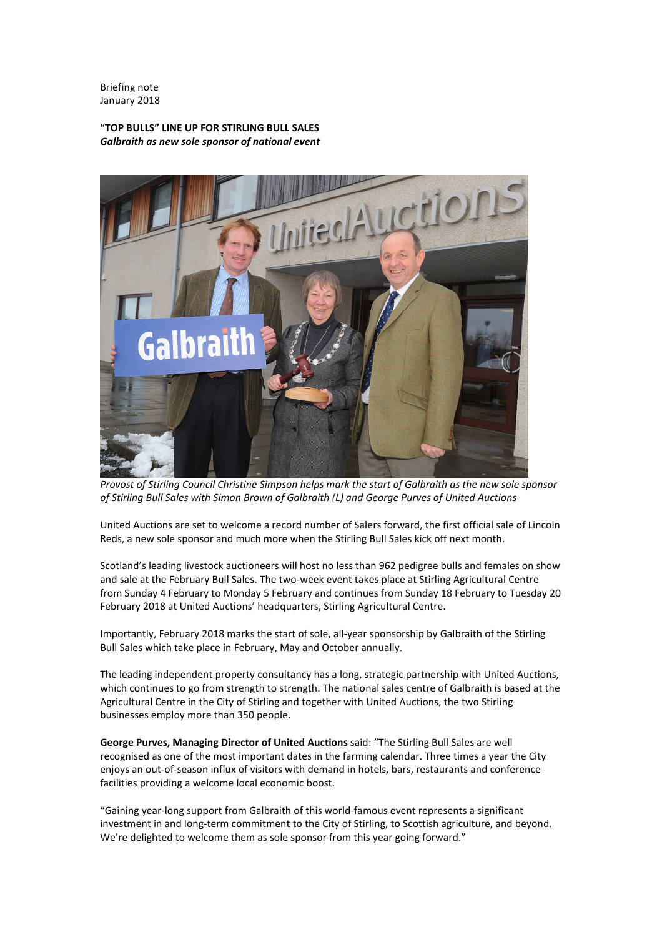Briefing note January 2018

# **"TOP BULLS" LINE UP FOR STIRLING BULL SALES** *Galbraith as new sole sponsor of national event*



*Provost of Stirling Council Christine Simpson helps mark the start of Galbraith as the new sole sponsor of Stirling Bull Sales with Simon Brown of Galbraith (L) and George Purves of United Auctions*

United Auctions are set to welcome a record number of Salers forward, the first official sale of Lincoln Reds, a new sole sponsor and much more when the Stirling Bull Sales kick off next month.

Scotland's leading livestock auctioneers will host no less than 962 pedigree bulls and females on show and sale at the February Bull Sales. The two-week event takes place at Stirling Agricultural Centre from Sunday 4 February to Monday 5 February and continues from Sunday 18 February to Tuesday 20 February 2018 at United Auctions' headquarters, Stirling Agricultural Centre.

Importantly, February 2018 marks the start of sole, all-year sponsorship by Galbraith of the Stirling Bull Sales which take place in February, May and October annually.

The leading independent property consultancy has a long, strategic partnership with United Auctions, which continues to go from strength to strength. The national sales centre of Galbraith is based at the Agricultural Centre in the City of Stirling and together with United Auctions, the two Stirling businesses employ more than 350 people.

**George Purves, Managing Director of United Auctions** said: "The Stirling Bull Sales are well recognised as one of the most important dates in the farming calendar. Three times a year the City enjoys an out-of-season influx of visitors with demand in hotels, bars, restaurants and conference facilities providing a welcome local economic boost.

"Gaining year-long support from Galbraith of this world-famous event represents a significant investment in and long-term commitment to the City of Stirling, to Scottish agriculture, and beyond. We're delighted to welcome them as sole sponsor from this year going forward."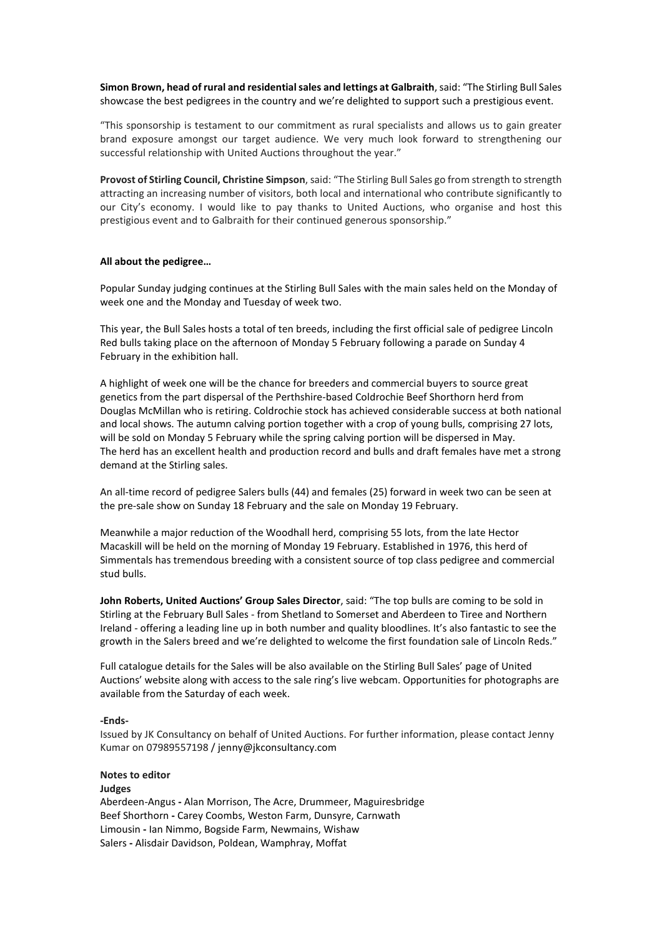**Simon Brown, head of rural and residential sales and lettings at Galbraith**, said: "The Stirling Bull Sales showcase the best pedigrees in the country and we're delighted to support such a prestigious event.

"This sponsorship is testament to our commitment as rural specialists and allows us to gain greater brand exposure amongst our target audience. We very much look forward to strengthening our successful relationship with United Auctions throughout the year."

**Provost of Stirling Council, Christine Simpson**, said: "The Stirling Bull Sales go from strength to strength attracting an increasing number of visitors, both local and international who contribute significantly to our City's economy. I would like to pay thanks to United Auctions, who organise and host this prestigious event and to Galbraith for their continued generous sponsorship."

#### **All about the pedigree…**

Popular Sunday judging continues at the Stirling Bull Sales with the main sales held on the Monday of week one and the Monday and Tuesday of week two.

This year, the Bull Sales hosts a total of ten breeds, including the first official sale of pedigree Lincoln Red bulls taking place on the afternoon of Monday 5 February following a parade on Sunday 4 February in the exhibition hall.

A highlight of week one will be the chance for breeders and commercial buyers to source great genetics from the part dispersal of the Perthshire-based Coldrochie Beef Shorthorn herd from Douglas McMillan who is retiring. Coldrochie stock has achieved considerable success at both national and local shows. The autumn calving portion together with a crop of young bulls, comprising 27 lots, will be sold on Monday 5 February while the spring calving portion will be dispersed in May. The herd has an excellent health and production record and bulls and draft females have met a strong demand at the Stirling sales.

An all-time record of pedigree Salers bulls (44) and females (25) forward in week two can be seen at the pre-sale show on Sunday 18 February and the sale on Monday 19 February.

Meanwhile a major reduction of the Woodhall herd, comprising 55 lots, from the late Hector Macaskill will be held on the morning of Monday 19 February. Established in 1976, this herd of Simmentals has tremendous breeding with a consistent source of top class pedigree and commercial stud bulls.

**John Roberts, United Auctions' Group Sales Director**, said: "The top bulls are coming to be sold in Stirling at the February Bull Sales - from Shetland to Somerset and Aberdeen to Tiree and Northern Ireland - offering a leading line up in both number and quality bloodlines. It's also fantastic to see the growth in the Salers breed and we're delighted to welcome the first foundation sale of Lincoln Reds."

Full catalogue details for the Sales will be also available on the Stirling Bull Sales' page of United Auctions' website along with access to the sale ring's live webcam. Opportunities for photographs are available from the Saturday of each week.

#### **-Ends-**

Issued by JK Consultancy on behalf of United Auctions. For further information, please contact Jenny Kumar on 07989557198 / jenny@jkconsultancy.com

## **Notes to editor**

#### **Judges**

Aberdeen-Angus **-** Alan Morrison, The Acre, Drummeer, Maguiresbridge Beef Shorthorn **-** Carey Coombs, Weston Farm, Dunsyre, Carnwath Limousin **-** Ian Nimmo, Bogside Farm, Newmains, Wishaw Salers **-** Alisdair Davidson, Poldean, Wamphray, Moffat